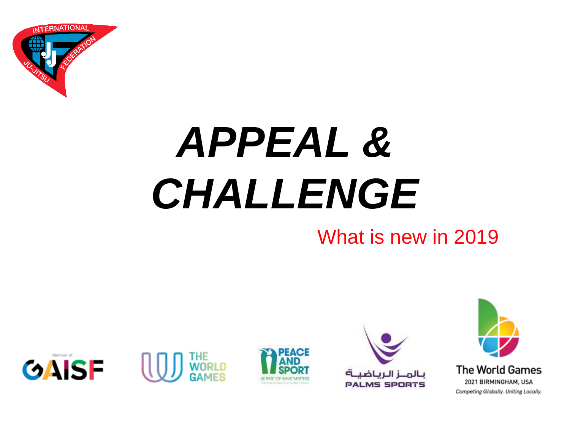

## *APPEAL & CHALLENGE*

### What is new in 2019









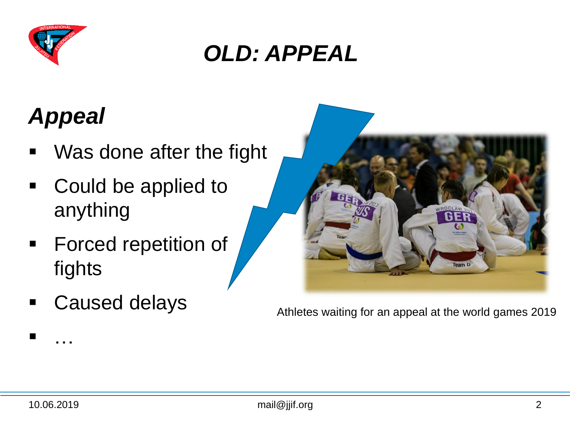

### *OLD: APPEAL*

### *Appeal*

- **Nas done after the fight**
- Could be applied to anything
- **Forced repetition of** fights
- Caused delays



Athletes waiting for an appeal at the world games 2019

…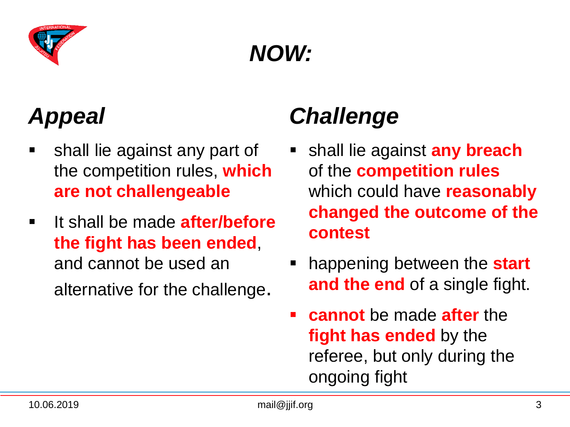

### *NOW:*

### *Appeal*

- shall lie against any part of the competition rules, **which are not challengeable**
- **If shall be made after/before the fight has been ended**, and cannot be used an alternative for the challenge.

### *Challenge*

- shall lie against **any breach** of the **competition rules**  which could have **reasonably changed the outcome of the contest**
- happening between the **start and the end** of a single fight.
- **cannot** be made **after** the **fight has ended** by the referee, but only during the ongoing fight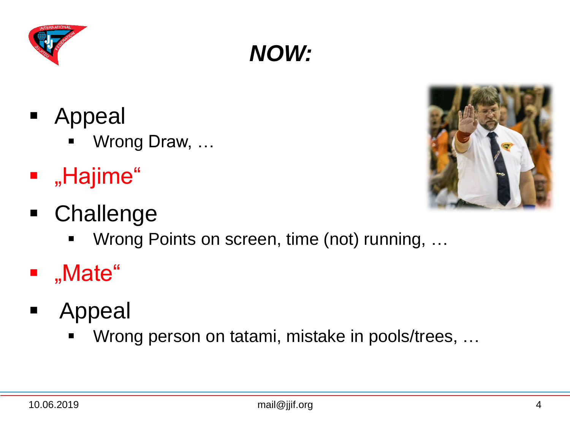- **Appeal** 
	- Wrong Draw, …
- **"** "Hajime"
- Challenge
	- Wrong Points on screen, time (not) running, ...

*NOW:*

- "Mate"
- **Appeal** 
	- Wrong person on tatami, mistake in pools/trees, ...



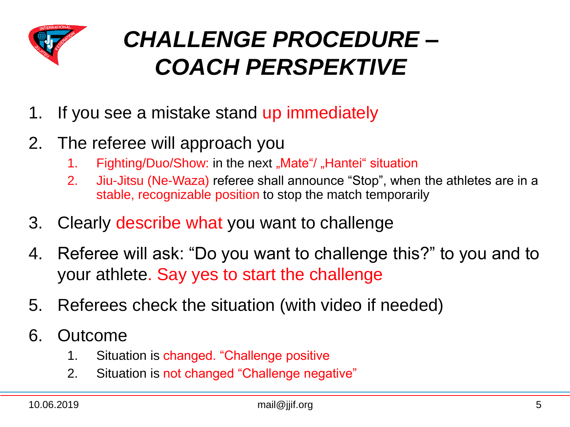

### *CHALLENGE PROCEDURE – COACH PERSPEKTIVE*

- 1. If you see a mistake stand up immediately
- 2. The referee will approach you
	- 1. Fighting/Duo/Show: in the next "Mate"/ "Hantei" situation
	- 2. Jiu-Jitsu (Ne-Waza) referee shall announce "Stop", when the athletes are in a stable, recognizable position to stop the match temporarily
- 3. Clearly describe what you want to challenge
- 4. Referee will ask: "Do you want to challenge this?" to you and to your athlete. Say yes to start the challenge
- 5. Referees check the situation (with video if needed)
- 6. Outcome
	- 1. Situation is changed. "Challenge positive
	- 2. Situation is not changed "Challenge negative"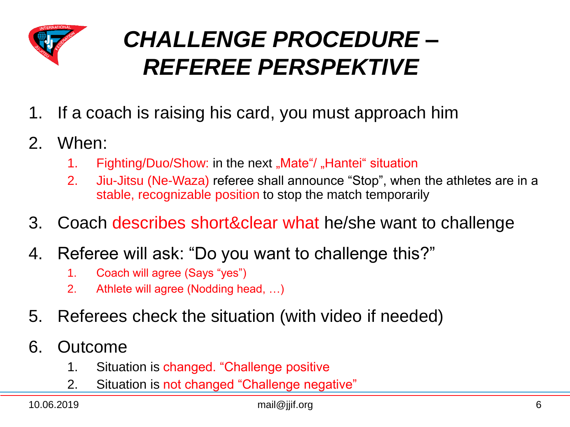

### *CHALLENGE PROCEDURE – REFEREE PERSPEKTIVE*

- 1. If a coach is raising his card, you must approach him
- 2. When:
	- 1. Fighting/Duo/Show: in the next "Mate"/ "Hantei" situation
	- 2. Jiu-Jitsu (Ne-Waza) referee shall announce "Stop", when the athletes are in a stable, recognizable position to stop the match temporarily
- 3. Coach describes short&clear what he/she want to challenge
- 4. Referee will ask: "Do you want to challenge this?"
	- 1. Coach will agree (Says "yes")
	- 2. Athlete will agree (Nodding head, …)
- 5. Referees check the situation (with video if needed)
- 6. Outcome
	- 1. Situation is changed. "Challenge positive
	- 2. Situation is not changed "Challenge negative"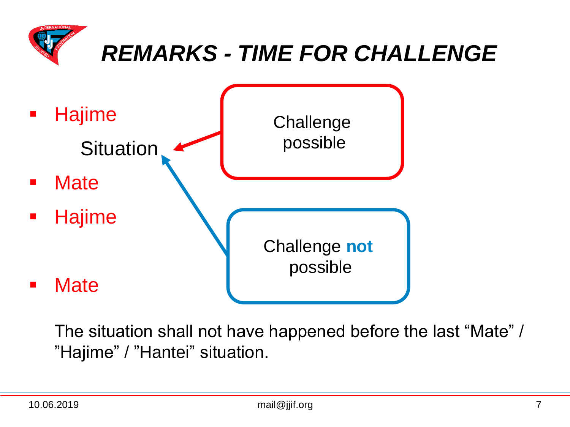

### *REMARKS - TIME FOR CHALLENGE*



The situation shall not have happened before the last "Mate" / "Hajime" / "Hantei" situation.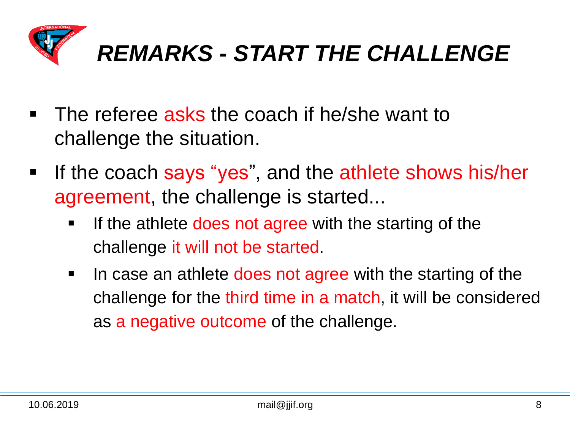

- The referee asks the coach if he/she want to challenge the situation.
- **If the coach says "yes", and the athlete shows his/her** agreement, the challenge is started...
	- If the athlete does not agree with the starting of the challenge it will not be started.
	- In case an athlete does not agree with the starting of the challenge for the third time in a match, it will be considered as a negative outcome of the challenge.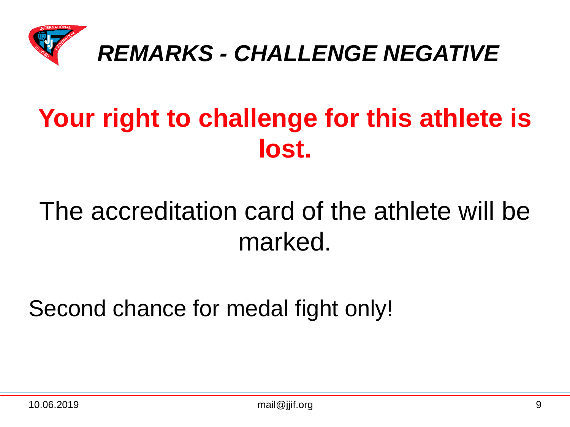

### **Your right to challenge for this athlete is lost.**

### The accreditation card of the athlete will be marked.

Second chance for medal fight only!